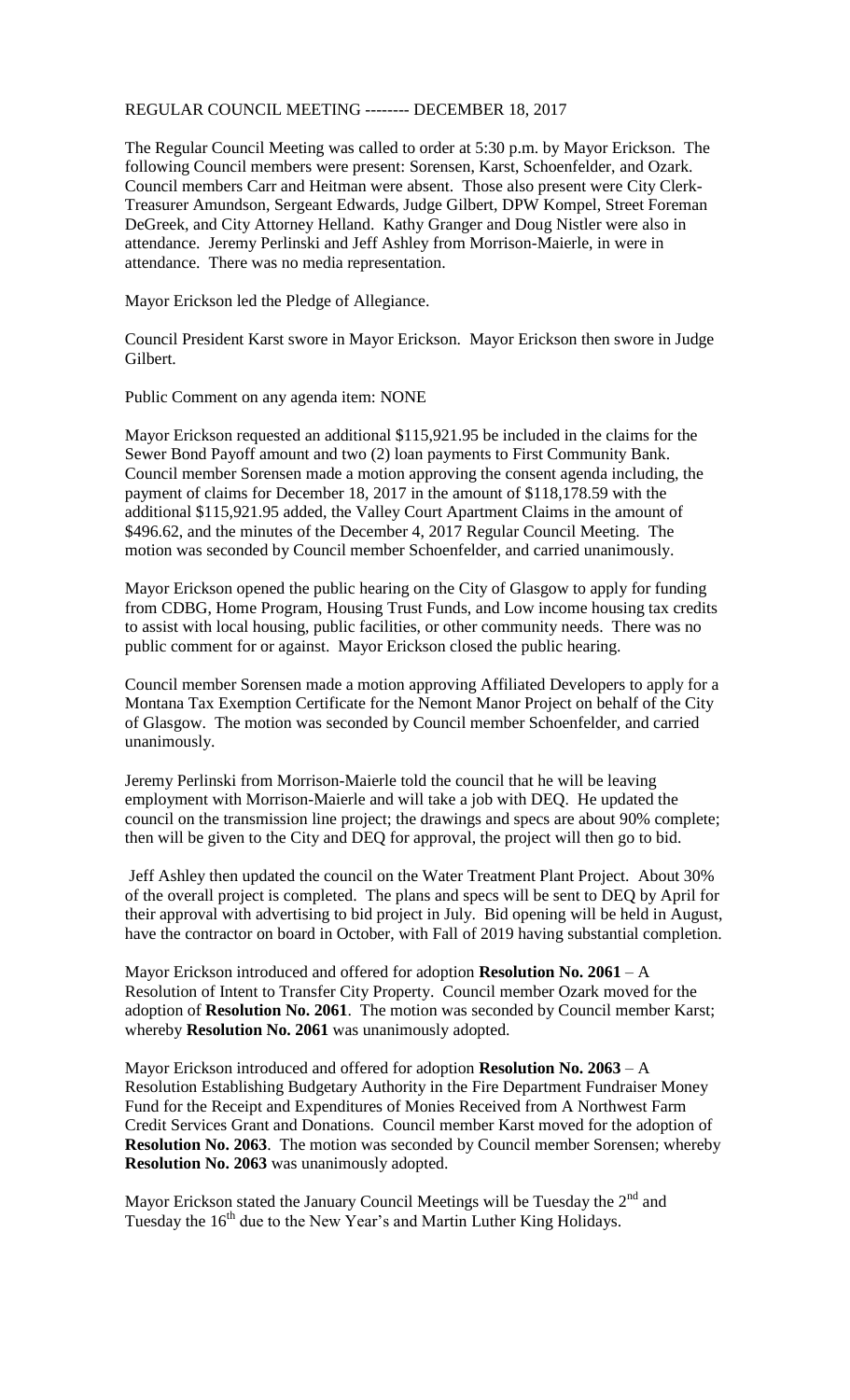## REGULAR COUNCIL MEETING -------- DECEMBER 18, 2017

The Regular Council Meeting was called to order at 5:30 p.m. by Mayor Erickson. The following Council members were present: Sorensen, Karst, Schoenfelder, and Ozark. Council members Carr and Heitman were absent. Those also present were City Clerk-Treasurer Amundson, Sergeant Edwards, Judge Gilbert, DPW Kompel, Street Foreman DeGreek, and City Attorney Helland. Kathy Granger and Doug Nistler were also in attendance. Jeremy Perlinski and Jeff Ashley from Morrison-Maierle, in were in attendance. There was no media representation.

Mayor Erickson led the Pledge of Allegiance.

Council President Karst swore in Mayor Erickson. Mayor Erickson then swore in Judge Gilbert.

Public Comment on any agenda item: NONE

Mayor Erickson requested an additional \$115,921.95 be included in the claims for the Sewer Bond Payoff amount and two (2) loan payments to First Community Bank. Council member Sorensen made a motion approving the consent agenda including, the payment of claims for December 18, 2017 in the amount of \$118,178.59 with the additional \$115,921.95 added, the Valley Court Apartment Claims in the amount of \$496.62, and the minutes of the December 4, 2017 Regular Council Meeting. The motion was seconded by Council member Schoenfelder, and carried unanimously.

Mayor Erickson opened the public hearing on the City of Glasgow to apply for funding from CDBG, Home Program, Housing Trust Funds, and Low income housing tax credits to assist with local housing, public facilities, or other community needs. There was no public comment for or against. Mayor Erickson closed the public hearing.

Council member Sorensen made a motion approving Affiliated Developers to apply for a Montana Tax Exemption Certificate for the Nemont Manor Project on behalf of the City of Glasgow. The motion was seconded by Council member Schoenfelder, and carried unanimously.

Jeremy Perlinski from Morrison-Maierle told the council that he will be leaving employment with Morrison-Maierle and will take a job with DEQ. He updated the council on the transmission line project; the drawings and specs are about 90% complete; then will be given to the City and DEQ for approval, the project will then go to bid.

Jeff Ashley then updated the council on the Water Treatment Plant Project. About 30% of the overall project is completed. The plans and specs will be sent to DEQ by April for their approval with advertising to bid project in July. Bid opening will be held in August, have the contractor on board in October, with Fall of 2019 having substantial completion.

Mayor Erickson introduced and offered for adoption **Resolution No. 2061** – A Resolution of Intent to Transfer City Property. Council member Ozark moved for the adoption of **Resolution No. 2061**. The motion was seconded by Council member Karst; whereby **Resolution No. 2061** was unanimously adopted.

Mayor Erickson introduced and offered for adoption **Resolution No. 2063** – A Resolution Establishing Budgetary Authority in the Fire Department Fundraiser Money Fund for the Receipt and Expenditures of Monies Received from A Northwest Farm Credit Services Grant and Donations. Council member Karst moved for the adoption of **Resolution No. 2063**. The motion was seconded by Council member Sorensen; whereby **Resolution No. 2063** was unanimously adopted.

Mayor Erickson stated the January Council Meetings will be Tuesday the  $2<sup>nd</sup>$  and Tuesday the 16<sup>th</sup> due to the New Year's and Martin Luther King Holidays.